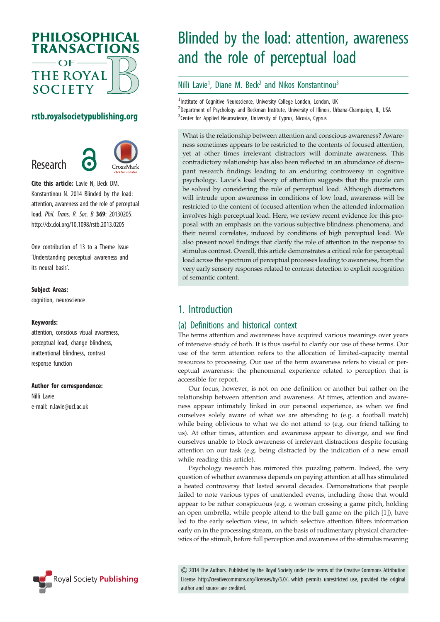

### rstb.royalsocietypublishing.org

Research



Cite this article: Lavie N, Beck DM. Konstantinou N. 2014 Blinded by the load: attention, awareness and the role of perceptual load. Phil. Trans. R. Soc. B 369: 20130205. http://dx.doi.org/10.1098/rstb.2013.0205

One contribution of 13 to a Theme Issue 'Understanding perceptual awareness and its neural basis'.

#### Subject Areas:

cognition, neuroscience

#### Keywords:

attention, conscious visual awareness, perceptual load, change blindness, inattentional blindness, contrast response function

#### Author for correspondence:

Nilli Lavie e-mail: [n.lavie@ucl.ac.uk](mailto:n.lavie@ucl.ac.uk)

# Blinded by the load: attention, awareness and the role of perceptual load

### Nilli Lavie<sup>1</sup>, Diane M. Beck<sup>2</sup> and Nikos Konstantinou<sup>3</sup>

<sup>1</sup>Institute of Cognitive Neuroscience, University College London, London, UK <sup>2</sup>Department of Psychology and Beckman Institute, University of Illinois, Urbana-Champaign, IL, USA <sup>3</sup> Center for Applied Neuroscience, University of Cyprus, Nicosia, Cyprus

What is the relationship between attention and conscious awareness? Awareness sometimes appears to be restricted to the contents of focused attention, yet at other times irrelevant distractors will dominate awareness. This contradictory relationship has also been reflected in an abundance of discrepant research findings leading to an enduring controversy in cognitive psychology. Lavie's load theory of attention suggests that the puzzle can be solved by considering the role of perceptual load. Although distractors will intrude upon awareness in conditions of low load, awareness will be restricted to the content of focused attention when the attended information involves high perceptual load. Here, we review recent evidence for this proposal with an emphasis on the various subjective blindness phenomena, and their neural correlates, induced by conditions of high perceptual load. We also present novel findings that clarify the role of attention in the response to stimulus contrast. Overall, this article demonstrates a critical role for perceptual load across the spectrum of perceptual processes leading to awareness, from the very early sensory responses related to contrast detection to explicit recognition of semantic content.

### 1. Introduction

#### (a) Definitions and historical context

The terms attention and awareness have acquired various meanings over years of intensive study of both. It is thus useful to clarify our use of these terms. Our use of the term attention refers to the allocation of limited-capacity mental resources to processing. Our use of the term awareness refers to visual or perceptual awareness: the phenomenal experience related to perception that is accessible for report.

Our focus, however, is not on one definition or another but rather on the relationship between attention and awareness. At times, attention and awareness appear intimately linked in our personal experience, as when we find ourselves solely aware of what we are attending to (e.g. a football match) while being oblivious to what we do not attend to (e.g. our friend talking to us). At other times, attention and awareness appear to diverge, and we find ourselves unable to block awareness of irrelevant distractions despite focusing attention on our task (e.g. being distracted by the indication of a new email while reading this article).

Psychology research has mirrored this puzzling pattern. Indeed, the very question of whether awareness depends on paying attention at all has stimulated a heated controversy that lasted several decades. Demonstrations that people failed to note various types of unattended events, including those that would appear to be rather conspicuous (e.g. a woman crossing a game pitch, holding an open umbrella, while people attend to the ball game on the pitch [[1](#page-8-0)]), have led to the early selection view, in which selective attention filters information early on in the processing stream, on the basis of rudimentary physical characteristics of the stimuli, before full perception and awareness of the stimulus meaning



& 2014 The Authors. Published by the Royal Society under the terms of the Creative Commons Attribution License http://creativecommons.org/licenses/by/3.0/, which permits unrestricted use, provided the original author and source are credited.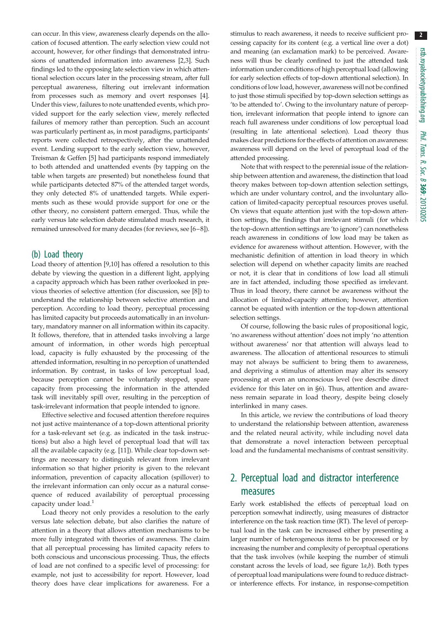can occur. In this view, awareness clearly depends on the allocation of focused attention. The early selection view could not account, however, for other findings that demonstrated intrusions of unattended information into awareness [\[2,3](#page-8-0)]. Such findings led to the opposing late selection view in which attentional selection occurs later in the processing stream, after full perceptual awareness, filtering out irrelevant information from processes such as memory and overt responses [[4](#page-8-0)]. Under this view, failures to note unattended events, which provided support for the early selection view, merely reflected failures of memory rather than perception. Such an account was particularly pertinent as, in most paradigms, participants' reports were collected retrospectively, after the unattended event. Lending support to the early selection view, however, Treisman & Geffen [[5](#page-8-0)] had participants respond immediately to both attended and unattended events (by tapping on the table when targets are presented) but nonetheless found that while participants detected 87% of the attended target words, they only detected 8% of unattended targets. While experiments such as these would provide support for one or the other theory, no consistent pattern emerged. Thus, while the early versus late selection debate stimulated much research, it remained unresolved for many decades (for reviews, see [[6](#page-8-0)–[8\]](#page-8-0)).

#### (b) Load theory

Load theory of attention [\[9,10\]](#page-8-0) has offered a resolution to this debate by viewing the question in a different light, applying a capacity approach which has been rather overlooked in previous theories of selective attention (for discussion, see [[8](#page-8-0)]) to understand the relationship between selective attention and perception. According to load theory, perceptual processing has limited capacity but proceeds automatically in an involuntary, mandatory manner on all information within its capacity. It follows, therefore, that in attended tasks involving a large amount of information, in other words high perceptual load, capacity is fully exhausted by the processing of the attended information, resulting in no perception of unattended information. By contrast, in tasks of low perceptual load, because perception cannot be voluntarily stopped, spare capacity from processing the information in the attended task will inevitably spill over, resulting in the perception of task-irrelevant information that people intended to ignore.

Effective selective and focused attention therefore requires not just active maintenance of a top-down attentional priority for a task-relevant set (e.g. as indicated in the task instructions) but also a high level of perceptual load that will tax all the available capacity (e.g. [[11\]](#page-8-0)). While clear top-down settings are necessary to distinguish relevant from irrelevant information so that higher priority is given to the relevant information, prevention of capacity allocation (spillover) to the irrelevant information can only occur as a natural consequence of reduced availability of perceptual processing capacity under load. $<sup>1</sup>$ </sup>

Load theory not only provides a resolution to the early versus late selection debate, but also clarifies the nature of attention in a theory that allows attention mechanisms to be more fully integrated with theories of awareness. The claim that all perceptual processing has limited capacity refers to both conscious and unconscious processing. Thus, the effects of load are not confined to a specific level of processing: for example, not just to accessibility for report. However, load theory does have clear implications for awareness. For a

stimulus to reach awareness, it needs to receive sufficient processing capacity for its content (e.g. a vertical line over a dot) and meaning (an exclamation mark) to be perceived. Awareness will thus be clearly confined to just the attended task information under conditions of high perceptual load (allowing for early selection effects of top-down attentional selection). In conditions of low load, however, awareness will not be confined to just those stimuli specified by top-down selection settings as 'to be attended to'. Owing to the involuntary nature of perception, irrelevant information that people intend to ignore can reach full awareness under conditions of low perceptual load (resulting in late attentional selection). Load theory thus makes clear predictions for the effects of attention on awareness: awareness will depend on the level of perceptual load of the attended processing.

Note that with respect to the perennial issue of the relationship between attention and awareness, the distinction that load theory makes between top-down attention selection settings, which are under voluntary control, and the involuntary allocation of limited-capacity perceptual resources proves useful. On views that equate attention just with the top-down attention settings, the findings that irrelevant stimuli (for which the top-down attention settings are 'to ignore') can nonetheless reach awareness in conditions of low load may be taken as evidence for awareness without attention. However, with the mechanistic definition of attention in load theory in which selection will depend on whether capacity limits are reached or not, it is clear that in conditions of low load all stimuli are in fact attended, including those specified as irrelevant. Thus in load theory, there cannot be awareness without the allocation of limited-capacity attention; however, attention cannot be equated with intention or the top-down attentional selection settings.

Of course, following the basic rules of propositional logic, 'no awareness without attention' does not imply 'no attention without awareness' nor that attention will always lead to awareness. The allocation of attentional resources to stimuli may not always be sufficient to bring them to awareness, and depriving a stimulus of attention may alter its sensory processing at even an unconscious level (we describe direct evidence for this later on in §6). Thus, attention and awareness remain separate in load theory, despite being closely interlinked in many cases.

In this article, we review the contributions of load theory to understand the relationship between attention, awareness and the related neural activity, while including novel data that demonstrate a novel interaction between perceptual load and the fundamental mechanisms of contrast sensitivity.

# 2. Perceptual load and distractor interference measures

Early work established the effects of perceptual load on perception somewhat indirectly, using measures of distractor interference on the task reaction time (RT). The level of perceptual load in the task can be increased either by presenting a larger number of heterogeneous items to be processed or by increasing the number and complexity of perceptual operations that the task involves (while keeping the number of stimuli constant across the levels of load, see figure  $1a,b$ ). Both types of perceptual load manipulations were found to reduce distractor interference effects. For instance, in response-competition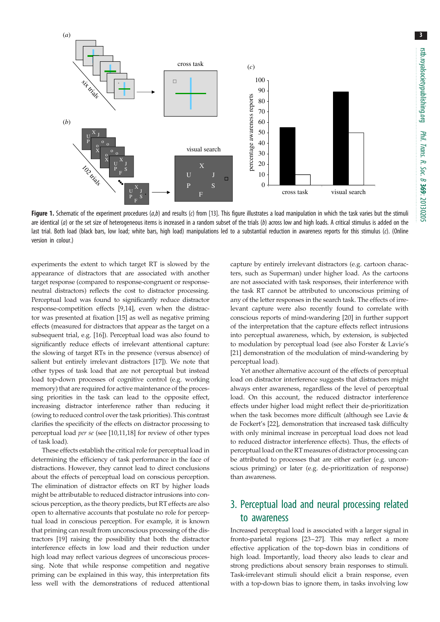<span id="page-2-0"></span>

Figure 1. Schematic of the experiment procedures  $(a,b)$  and results (c) from [\[13\]](#page-8-0). This figure illustrates a load manipulation in which the task varies but the stimuli are identical (a) or the set size of heterogeneous items is increased in a random subset of the trials (b) across low and high loads. A critical stimulus is added on the last trial. Both load (black bars, low load; white bars, high load) manipulations led to a substantial reduction in awareness reports for this stimulus (c). (Online version in colour.)

experiments the extent to which target RT is slowed by the appearance of distractors that are associated with another target response (compared to response-congruent or responseneutral distractors) reflects the cost to distractor processing. Perceptual load was found to significantly reduce distractor response-competition effects [[9,14](#page-8-0)], even when the distractor was presented at fixation [[15](#page-8-0)] as well as negative priming effects (measured for distractors that appear as the target on a subsequent trial, e.g. [\[16](#page-8-0)]). Perceptual load was also found to significantly reduce effects of irrelevant attentional capture: the slowing of target RTs in the presence (versus absence) of salient but entirely irrelevant distractors [\[17\]](#page-8-0)). We note that other types of task load that are not perceptual but instead load top-down processes of cognitive control (e.g. working memory) that are required for active maintenance of the processing priorities in the task can lead to the opposite effect, increasing distractor interference rather than reducing it (owing to reduced control over the task priorities). This contrast clarifies the specificity of the effects on distractor processing to perceptual load per se (see [\[10,11,18\]](#page-8-0) for review of other types of task load).

These effects establish the critical role for perceptual load in determining the efficiency of task performance in the face of distractions. However, they cannot lead to direct conclusions about the effects of perceptual load on conscious perception. The elimination of distractor effects on RT by higher loads might be attributable to reduced distractor intrusions into conscious perception, as the theory predicts, but RT effects are also open to alternative accounts that postulate no role for perceptual load in conscious perception. For example, it is known that priming can result from unconscious processing of the distractors [\[19](#page-8-0)] raising the possibility that both the distractor interference effects in low load and their reduction under high load may reflect various degrees of unconscious processing. Note that while response competition and negative priming can be explained in this way, this interpretation fits less well with the demonstrations of reduced attentional

capture by entirely irrelevant distractors (e.g. cartoon characters, such as Superman) under higher load. As the cartoons are not associated with task responses, their interference with the task RT cannot be attributed to unconscious priming of any of the letter responses in the search task. The effects of irrelevant capture were also recently found to correlate with conscious reports of mind-wandering [\[20](#page-8-0)] in further support of the interpretation that the capture effects reflect intrusions into perceptual awareness, which, by extension, is subjected to modulation by perceptual load (see also Forster & Lavie's [[21\]](#page-8-0) demonstration of the modulation of mind-wandering by perceptual load).

Yet another alternative account of the effects of perceptual load on distractor interference suggests that distractors might always enter awareness, regardless of the level of perceptual load. On this account, the reduced distractor interference effects under higher load might reflect their de-prioritization when the task becomes more difficult (although see Lavie & de Fockert's [[22\]](#page-8-0), demonstration that increased task difficulty with only minimal increase in perceptual load does not lead to reduced distractor interference effects). Thus, the effects of perceptual load on the RT measures of distractor processing can be attributed to processes that are either earlier (e.g. unconscious priming) or later (e.g. de-prioritization of response) than awareness.

# 3. Perceptual load and neural processing related to awareness

Increased perceptual load is associated with a larger signal in fronto-parietal regions [\[23](#page-8-0)–[27](#page-8-0)]. This may reflect a more effective application of the top-down bias in conditions of high load. Importantly, load theory also leads to clear and strong predictions about sensory brain responses to stimuli. Task-irrelevant stimuli should elicit a brain response, even with a top-down bias to ignore them, in tasks involving low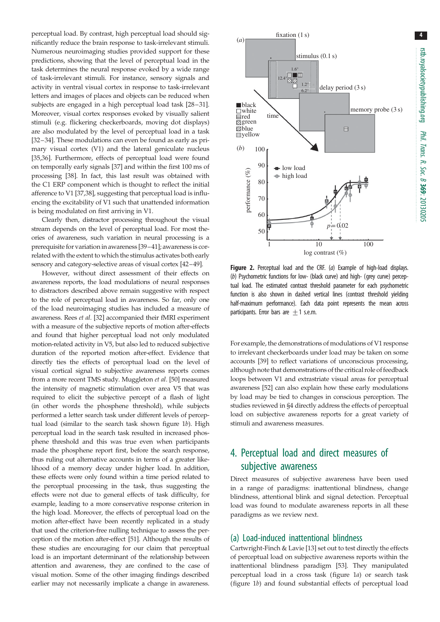<span id="page-3-0"></span>perceptual load. By contrast, high perceptual load should significantly reduce the brain response to task-irrelevant stimuli. Numerous neuroimaging studies provided support for these predictions, showing that the level of perceptual load in the task determines the neural response evoked by a wide range of task-irrelevant stimuli. For instance, sensory signals and activity in ventral visual cortex in response to task-irrelevant letters and images of places and objects can be reduced when subjects are engaged in a high perceptual load task [\[28](#page-8-0)–[31](#page-8-0)]. Moreover, visual cortex responses evoked by visually salient stimuli (e.g. flickering checkerboards, moving dot displays) are also modulated by the level of perceptual load in a task [\[32](#page-8-0)–[34](#page-8-0)]. These modulations can even be found as early as primary visual cortex (V1) and the lateral geniculate nucleus [\[35,36](#page-8-0)]. Furthermore, effects of perceptual load were found on temporally early signals [[37\]](#page-8-0) and within the first 100 ms of processing [\[38](#page-8-0)]. In fact, this last result was obtained with the C1 ERP component which is thought to reflect the initial afference to V1 [\[37,38](#page-8-0)], suggesting that perceptual load is influencing the excitability of V1 such that unattended information is being modulated on first arriving in V1.

Clearly then, distractor processing throughout the visual stream depends on the level of perceptual load. For most theories of awareness, such variation in neural processing is a prerequisite for variation in awareness [\[39](#page-8-0)–[41\]](#page-8-0); awareness is correlated with the extent to which the stimulus activates both early sensory and category-selective areas of visual cortex [[42](#page-8-0)–[49](#page-9-0)].

However, without direct assessment of their effects on awareness reports, the load modulations of neural responses to distractors described above remain suggestive with respect to the role of perceptual load in awareness. So far, only one of the load neuroimaging studies has included a measure of awareness. Rees et al. [[32](#page-8-0)] accompanied their fMRI experiment with a measure of the subjective reports of motion after-effects and found that higher perceptual load not only modulated motion-related activity in V5, but also led to reduced subjective duration of the reported motion after-effect. Evidence that directly ties the effects of perceptual load on the level of visual cortical signal to subjective awareness reports comes from a more recent TMS study. Muggleton et al. [[50](#page-9-0)] measured the intensity of magnetic stimulation over area V5 that was required to elicit the subjective percept of a flash of light (in other words the phosphene threshold), while subjects performed a letter search task under different levels of perceptual load (similar to the search task shown [figure 1](#page-2-0)b). High perceptual load in the search task resulted in increased phosphene threshold and this was true even when participants made the phosphene report first, before the search response, thus ruling out alternative accounts in terms of a greater likelihood of a memory decay under higher load. In addition, these effects were only found within a time period related to the perceptual processing in the task, thus suggesting the effects were not due to general effects of task difficulty, for example, leading to a more conservative response criterion in the high load. Moreover, the effects of perceptual load on the motion after-effect have been recently replicated in a study that used the criterion-free nulling technique to assess the perception of the motion after-effect [\[51](#page-9-0)]. Although the results of these studies are encouraging for our claim that perceptual load is an important determinant of the relationship between attention and awareness, they are confined to the case of visual motion. Some of the other imaging findings described earlier may not necessarily implicate a change in awareness.



Figure 2. Perceptual load and the CRF. (a) Example of high-load displays. (b) Psychometric functions for low- (black curve) and high- (grey curve) perceptual load. The estimated contrast threshold parameter for each psychometric function is also shown in dashed vertical lines (contrast threshold yielding half-maximum performance). Each data point represents the mean across participants. Error bars are  $+1$  s.e.m.

For example, the demonstrations of modulations of V1 response to irrelevant checkerboards under load may be taken on some accounts [[39\]](#page-8-0) to reflect variations of unconscious processing, although note that demonstrations of the critical role of feedback loops between V1 and extrastriate visual areas for perceptual awareness [\[52](#page-9-0)] can also explain how these early modulations by load may be tied to changes in conscious perception. The studies reviewed in §4 directly address the effects of perceptual load on subjective awareness reports for a great variety of stimuli and awareness measures.

# 4. Perceptual load and direct measures of subjective awareness

Direct measures of subjective awareness have been used in a range of paradigms: inattentional blindness, change blindness, attentional blink and signal detection. Perceptual load was found to modulate awareness reports in all these paradigms as we review next.

#### (a) Load-induced inattentional blindness

Cartwright-Finch & Lavie [\[13](#page-8-0)] set out to test directly the effects of perceptual load on subjective awareness reports within the inattentional blindness paradigm [\[53](#page-9-0)]. They manipulated perceptual load in a cross task [\(figure 1](#page-2-0)a) or search task ([figure 1](#page-2-0)b) and found substantial effects of perceptual load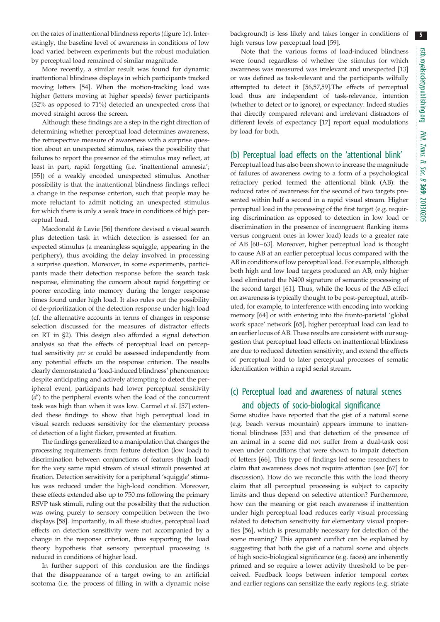on the rates of inattentional blindness reports (figure  $1c$ ). Interestingly, the baseline level of awareness in conditions of low load varied between experiments but the robust modulation by perceptual load remained of similar magnitude.

More recently, a similar result was found for dynamic inattentional blindness displays in which participants tracked moving letters [\[54](#page-9-0)]. When the motion-tracking load was higher (letters moving at higher speeds) fewer participants (32% as opposed to 71%) detected an unexpected cross that moved straight across the screen.

Although these findings are a step in the right direction of determining whether perceptual load determines awareness, the retrospective measure of awareness with a surprise question about an unexpected stimulus, raises the possibility that failures to report the presence of the stimulus may reflect, at least in part, rapid forgetting (i.e. 'inattentional amnesia'; [\[55](#page-9-0)]) of a weakly encoded unexpected stimulus. Another possibility is that the inattentional blindness findings reflect a change in the response criterion, such that people may be more reluctant to admit noticing an unexpected stimulus for which there is only a weak trace in conditions of high perceptual load.

Macdonald & Lavie [\[56](#page-9-0)] therefore devised a visual search plus detection task in which detection is assessed for an expected stimulus (a meaningless squiggle, appearing in the periphery), thus avoiding the delay involved in processing a surprise question. Moreover, in some experiments, participants made their detection response before the search task response, eliminating the concern about rapid forgetting or poorer encoding into memory during the longer response times found under high load. It also rules out the possibility of de-prioritization of the detection response under high load (cf. the alternative accounts in terms of changes in response selection discussed for the measures of distractor effects on RT in §2). This design also afforded a signal detection analysis so that the effects of perceptual load on perceptual sensitivity per se could be assessed independently from any potential effects on the response criterion. The results clearly demonstrated a 'load-induced blindness' phenomenon: despite anticipating and actively attempting to detect the peripheral event, participants had lower perceptual sensitivity  $(d')$  to the peripheral events when the load of the concurrent task was high than when it was low. Carmel et al. [\[57](#page-9-0)] extended these findings to show that high perceptual load in visual search reduces sensitivity for the elementary process of detection of a light flicker, presented at fixation.

The findings generalized to a manipulation that changes the processing requirements from feature detection (low load) to discrimination between conjunctions of features (high load) for the very same rapid stream of visual stimuli presented at fixation. Detection sensitivity for a peripheral 'squiggle' stimulus was reduced under the high-load condition. Moreover, these effects extended also up to 750 ms following the primary RSVP task stimuli, ruling out the possibility that the reduction was owing purely to sensory competition between the two displays [[58](#page-9-0)]. Importantly, in all these studies, perceptual load effects on detection sensitivity were not accompanied by a change in the response criterion, thus supporting the load theory hypothesis that sensory perceptual processing is reduced in conditions of higher load.

In further support of this conclusion are the findings that the disappearance of a target owing to an artificial scotoma (i.e. the process of filling in with a dynamic noise background) is less likely and takes longer in conditions of high versus low perceptual load [[59\]](#page-9-0).

Note that the various forms of load-induced blindness were found regardless of whether the stimulus for which awareness was measured was irrelevant and unexpected [\[13\]](#page-8-0) or was defined as task-relevant and the participants wilfully attempted to detect it [\[56,57,59\]](#page-9-0).The effects of perceptual load thus are independent of task-relevance, intention (whether to detect or to ignore), or expectancy. Indeed studies that directly compared relevant and irrelevant distractors of different levels of expectancy [[17](#page-8-0)] report equal modulations by load for both.

#### (b) Perceptual load effects on the 'attentional blink'

Perceptual load has also been shown to increase the magnitude of failures of awareness owing to a form of a psychological refractory period termed the attentional blink (AB): the reduced rates of awareness for the second of two targets presented within half a second in a rapid visual stream. Higher perceptual load in the processing of the first target (e.g. requiring discrimination as opposed to detection in low load or discrimination in the presence of incongruent flanking items versus congruent ones in lower load) leads to a greater rate of AB [[60](#page-9-0)–[63\]](#page-9-0). Moreover, higher perceptual load is thought to cause AB at an earlier perceptual locus compared with the AB in conditions of low perceptual load. For example, although both high and low load targets produced an AB, only higher load eliminated the N400 signature of semantic processing of the second target [\[61](#page-9-0)]. Thus, while the locus of the AB effect on awareness is typically thought to be post-perceptual, attributed, for example, to interference with encoding into working memory [[64\]](#page-9-0) or with entering into the fronto-parietal 'global work space' network [\[65](#page-9-0)], higher perceptual load can lead to an earlier locus of AB. These results are consistent with our suggestion that perceptual load effects on inattentional blindness are due to reduced detection sensitivity, and extend the effects of perceptual load to later perceptual processes of sematic identification within a rapid serial stream.

### (c) Perceptual load and awareness of natural scenes and objects of socio-biological significance

Some studies have reported that the gist of a natural scene (e.g. beach versus mountain) appears immune to inattentional blindness [\[53](#page-9-0)] and that detection of the presence of an animal in a scene did not suffer from a dual-task cost even under conditions that were shown to impair detection of letters [\[66](#page-9-0)]. This type of findings led some researchers to claim that awareness does not require attention (see [\[67](#page-9-0)] for discussion). How do we reconcile this with the load theory claim that all perceptual processing is subject to capacity limits and thus depend on selective attention? Furthermore, how can the meaning or gist reach awareness if inattention under high perceptual load reduces early visual processing related to detection sensitivity for elementary visual properties [\[56](#page-9-0)], which is presumably necessary for detection of the scene meaning? This apparent conflict can be explained by suggesting that both the gist of a natural scene and objects of high socio-biological significance (e.g. faces) are inherently primed and so require a lower activity threshold to be perceived. Feedback loops between inferior temporal cortex and earlier regions can sensitize the early regions (e.g. striate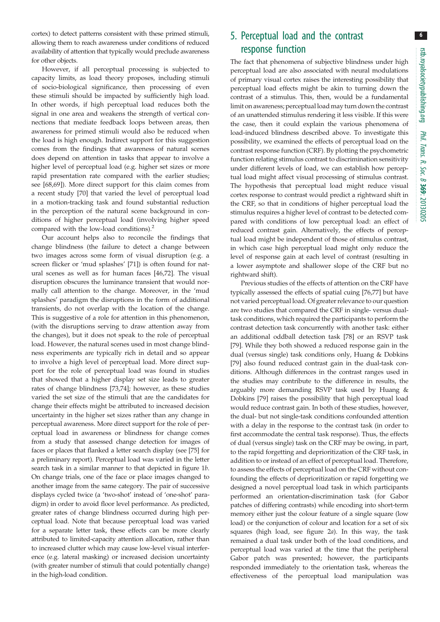cortex) to detect patterns consistent with these primed stimuli, allowing them to reach awareness under conditions of reduced availability of attention that typically would preclude awareness for other objects.

However, if all perceptual processing is subjected to capacity limits, as load theory proposes, including stimuli of socio-biological significance, then processing of even these stimuli should be impacted by sufficiently high load. In other words, if high perceptual load reduces both the signal in one area and weakens the strength of vertical connections that mediate feedback loops between areas, then awareness for primed stimuli would also be reduced when the load is high enough. Indirect support for this suggestion comes from the findings that awareness of natural scenes does depend on attention in tasks that appear to involve a higher level of perceptual load (e.g. higher set sizes or more rapid presentation rate compared with the earlier studies; see [\[68](#page-9-0),[69\]](#page-9-0)). More direct support for this claim comes from a recent study [\[70](#page-9-0)] that varied the level of perceptual load in a motion-tracking task and found substantial reduction in the perception of the natural scene background in conditions of higher perceptual load (involving higher speed compared with the low-load conditions).<sup>2</sup>

Our account helps also to reconcile the findings that change blindness (the failure to detect a change between two images across some form of visual disruption (e.g. a screen flicker or 'mud splashes' [[71\]](#page-9-0)) is often found for natural scenes as well as for human faces [\[46,72](#page-9-0)]. The visual disruption obscures the luminance transient that would normally call attention to the change. Moreover, in the 'mud splashes' paradigm the disruptions in the form of additional transients, do not overlap with the location of the change. This is suggestive of a role for attention in this phenomenon, (with the disruptions serving to draw attention away from the changes), but it does not speak to the role of perceptual load. However, the natural scenes used in most change blindness experiments are typically rich in detail and so appear to involve a high level of perceptual load. More direct support for the role of perceptual load was found in studies that showed that a higher display set size leads to greater rates of change blindness [\[73](#page-9-0),[74\]](#page-9-0); however, as these studies varied the set size of the stimuli that are the candidates for change their effects might be attributed to increased decision uncertainty in the higher set sizes rather than any change in perceptual awareness. More direct support for the role of perceptual load in awareness or blindness for change comes from a study that assessed change detection for images of faces or places that flanked a letter search display (see [\[75\]](#page-9-0) for a preliminary report). Perceptual load was varied in the letter search task in a similar manner to that depicted in [figure 1](#page-2-0)b. On change trials, one of the face or place images changed to another image from the same category. The pair of successive displays cycled twice (a 'two-shot' instead of 'one-shot' paradigm) in order to avoid floor level performance. As predicted, greater rates of change blindness occurred during high perceptual load. Note that because perceptual load was varied for a separate letter task, these effects can be more clearly attributed to limited-capacity attention allocation, rather than to increased clutter which may cause low-level visual interference (e.g. lateral masking) or increased decision uncertainty (with greater number of stimuli that could potentially change) in the high-load condition.

# 5. Perceptual load and the contrast response function

The fact that phenomena of subjective blindness under high perceptual load are also associated with neural modulations of primary visual cortex raises the interesting possibility that perceptual load effects might be akin to turning down the contrast of a stimulus. This, then, would be a fundamental limit on awareness; perceptual load may turn down the contrast of an unattended stimulus rendering it less visible. If this were the case, then it could explain the various phenomena of load-induced blindness described above. To investigate this possibility, we examined the effects of perceptual load on the contrast response function (CRF). By plotting the psychometric function relating stimulus contrast to discrimination sensitivity under different levels of load, we can establish how perceptual load might affect visual processing of stimulus contrast. The hypothesis that perceptual load might reduce visual cortex response to contrast would predict a rightward shift in the CRF, so that in conditions of higher perceptual load the stimulus requires a higher level of contrast to be detected compared with conditions of low perceptual load: an effect of reduced contrast gain. Alternatively, the effects of perceptual load might be independent of those of stimulus contrast, in which case high perceptual load might only reduce the level of response gain at each level of contrast (resulting in a lower asymptote and shallower slope of the CRF but no rightward shift).

Previous studies of the effects of attention on the CRF have typically assessed the effects of spatial cuing [[76,77\]](#page-9-0) but have not varied perceptual load. Of greater relevance to our question are two studies that compared the CRF in single- versus dualtask conditions, which required the participants to perform the contrast detection task concurrently with another task: either an additional oddball detection task [[78\]](#page-9-0) or an RSVP task [[79\]](#page-9-0). While they both showed a reduced response gain in the dual (versus single) task conditions only, Huang & Dobkins [[79\]](#page-9-0) also found reduced contrast gain in the dual-task conditions. Although differences in the contrast ranges used in the studies may contribute to the difference in results, the arguably more demanding RSVP task used by Huang & Dobkins [\[79](#page-9-0)] raises the possibility that high perceptual load would reduce contrast gain. In both of these studies, however, the dual- but not single-task conditions confounded attention with a delay in the response to the contrast task (in order to first accommodate the central task response). Thus, the effects of dual (versus single) task on the CRF may be owing, in part, to the rapid forgetting and deprioritization of the CRF task, in addition to or instead of an effect of perceptual load. Therefore, to assess the effects of perceptual load on the CRF without confounding the effects of deprioritization or rapid forgetting we designed a novel perceptual load task in which participants performed an orientation-discrimination task (for Gabor patches of differing contrasts) while encoding into short-term memory either just the colour feature of a single square (low load) or the conjunction of colour and location for a set of six squares (high load, see figure  $2a$ ). In this way, the task remained a dual task under both of the load conditions, and perceptual load was varied at the time that the peripheral Gabor patch was presented; however, the participants responded immediately to the orientation task, whereas the effectiveness of the perceptual load manipulation was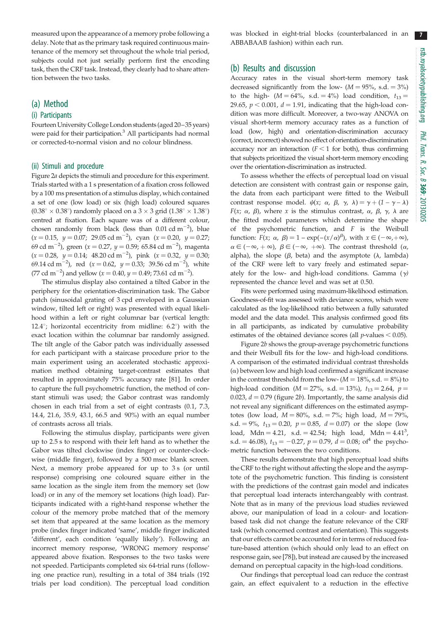measured upon the appearance of a memory probe following a delay. Note that as the primary task required continuous maintenance of the memory set throughout the whole trial period, subjects could not just serially perform first the encoding task, then the CRF task. Instead, they clearly had to share attention between the two tasks.

#### (a) Method

#### (i) Participants

Fourteen University College London students (aged 20–35 years) were paid for their participation.<sup>3</sup> All participants had normal or corrected-to-normal vision and no colour blindness.

#### (ii) Stimuli and procedure

[Figure 2](#page-3-0)a depicts the stimuli and procedure for this experiment. Trials started with a 1 s presentation of a fixation cross followed by a 100 ms presentation of a stimulus display, which contained a set of one (low load) or six (high load) coloured squares  $(0.38^{\circ} \times 0.38^{\circ})$  randomly placed on a 3  $\times$  3 grid (1.38 $^{\circ} \times$  1.38 $^{\circ}$ ) centred at fixation. Each square was of a different colour, chosen randomly from black (less than  $0.01$  cd m<sup>-2</sup>), blue  $(x = 0.15, y = 0.07; 29.05 \text{ cd m}^{-2}), \text{ cyan} (x = 0.20, y = 0.27;$ 69 cd m<sup>-2</sup>), green ( $x = 0.27$ ,  $y = 0.59$ ; 65.84 cd m<sup>-2</sup>), magenta  $(x = 0.28, y = 0.14; 48.20 \text{ cd m}^{-2}), \text{ pink} (x = 0.32, y = 0.30;$ 69.14 cd m<sup>-2</sup>), red ( $x = 0.62$ ,  $y = 0.33$ ; 39.56 cd m<sup>-2</sup>), white (77 cd m<sup>-2</sup>) and yellow ( $x = 0.40$ ,  $y = 0.49$ ; 73.61 cd m<sup>-2</sup>).

The stimulus display also contained a tilted Gabor in the periphery for the orientation-discrimination task. The Gabor patch (sinusoidal grating of 3 cpd enveloped in a Gaussian window, tilted left or right) was presented with equal likelihood within a left or right columnar bar (vertical length: 12.4°; horizontal eccentricity from midline:  $6.2^{\circ}$ ) with the exact location within the columnar bar randomly assigned. The tilt angle of the Gabor patch was individually assessed for each participant with a staircase procedure prior to the main experiment using an accelerated stochastic approximation method obtaining target-contrast estimates that resulted in approximately 75% accuracy rate [[81\]](#page-9-0). In order to capture the full psychometric function, the method of constant stimuli was used; the Gabor contrast was randomly chosen in each trial from a set of eight contrasts (0.1, 7.3, 14.4, 21.6, 35.9, 43.1, 66.5 and 90%) with an equal number of contrasts across all trials.

Following the stimulus display, participants were given up to 2.5 s to respond with their left hand as to whether the Gabor was tilted clockwise (index finger) or counter-clockwise (middle finger), followed by a 500 msec blank screen. Next, a memory probe appeared for up to 3s (or until response) comprising one coloured square either in the same location as the single item from the memory set (low load) or in any of the memory set locations (high load). Participants indicated with a right-hand response whether the colour of the memory probe matched that of the memory set item that appeared at the same location as the memory probe (index finger indicated 'same', middle finger indicated 'different', each condition 'equally likely'). Following an incorrect memory response, 'WRONG memory response' appeared above fixation. Responses to the two tasks were not speeded. Participants completed six 64-trial runs (following one practice run), resulting in a total of 384 trials (192 trials per load condition). The perceptual load condition

was blocked in eight-trial blocks (counterbalanced in an ABBABAAB fashion) within each run.

#### (b) Results and discussion

Accuracy rates in the visual short-term memory task decreased significantly from the low-  $(M = 95\% , s.d. = 3\%)$ to the high- ( $M = 64\%$ , s.d. = 4%) load condition,  $t_{13} =$ 29.65,  $p < 0.001$ ,  $d = 1.91$ , indicating that the high-load condition was more difficult. Moreover, a two-way ANOVA on visual short-term memory accuracy rates as a function of load (low, high) and orientation-discrimination accuracy (correct, incorrect) showed no effect of orientation-discrimination accuracy nor an interaction  $(F < 1$  for both), thus confirming that subjects prioritized the visual short-term memory encoding over the orientation-discrimination as instructed.

To assess whether the effects of perceptual load on visual detection are consistent with contrast gain or response gain, the data from each participant were fitted to the Weibull contrast response model.  $\psi(x; \alpha, \beta, \gamma, \lambda) = \gamma + (1 - \gamma - \lambda)$  $F(x; \alpha, \beta)$ , where x is the stimulus contrast,  $\alpha$ ,  $\beta$ ,  $\gamma$ ,  $\lambda$  are the fitted model parameters which determine the shape of the psychometric function, and F is the Weibull function:  $F(x; \alpha, \beta) = 1 - \exp(-(x/\alpha)^{\beta})$ , with  $x \in (-\infty, +\infty)$ ,  $\alpha \in (-\infty, +\infty)$ ,  $\beta \in (-\infty, +\infty)$ . The contrast threshold  $(\alpha,$ alpha), the slope  $(\beta, \text{beta})$  and the asymptote  $(\lambda, \text{lambda})$ of the CRF were left to vary freely and estimated separately for the low- and high-load conditions. Gamma  $(y)$ represented the chance level and was set at 0.50.

Fits were performed using maximum-likelihood estimation. Goodness-of-fit was assessed with deviance scores, which were calculated as the log-likelihood ratio between a fully saturated model and the data model. This analysis confirmed good fits in all participants, as indicated by cumulative probability estimates of the obtained deviance scores (all  $p$ -values  $< 0.05$ ).

[Figure 2](#page-3-0)b shows the group-average psychometric functions and their Weibull fits for the low- and high-load conditions. A comparison of the estimated individual contrast thresholds  $(\alpha)$  between low and high load confirmed a significant increase in the contrast threshold from the low-  $(M = 18\%, s.d. = 8\%)$  to high-load condition ( $M = 27\%$ , s.d. = 13%),  $t_{13} = 2.64$ ,  $p =$ 0.023,  $d = 0.79$  ([figure 2](#page-3-0)b). Importantly, the same analysis did not reveal any significant differences on the estimated asymptotes (low load,  $M = 80\%$ , s.d.  $= 7\%$ ; high load,  $M = 79\%$ , s.d. = 9%,  $t_{13} = 0.20$ ,  $p = 0.85$ ,  $d = 0.07$ ) or the slope (low load, Mdn = 4.21, s.d. = 42.54; high load, Mdn =  $4.41^{3}$ , s.d. = 46.08),  $t_{13} = -0.27$ ,  $p = 0.79$ ,  $d = 0.08$ ; of<sup>4</sup> the psychometric function between the two conditions.

These results demonstrate that high perceptual load shifts the CRF to the right without affecting the slope and the asymptote of the psychometric function. This finding is consistent with the predictions of the contrast gain model and indicates that perceptual load interacts interchangeably with contrast. Note that as in many of the previous load studies reviewed above, our manipulation of load in a colour- and locationbased task did not change the feature relevance of the CRF task (which concerned contrast and orientation). This suggests that our effects cannot be accounted for in terms of reduced feature-based attention (which should only lead to an effect on response gain, see [\[78](#page-9-0)]), but instead are caused by the increased demand on perceptual capacity in the high-load conditions.

Our findings that perceptual load can reduce the contrast gain, an effect equivalent to a reduction in the effective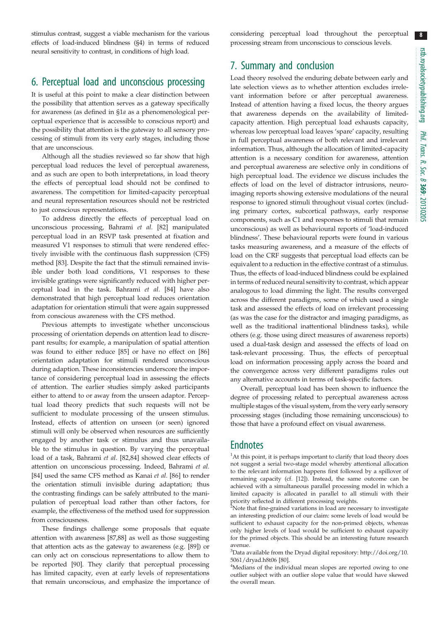stimulus contrast, suggest a viable mechanism for the various effects of load-induced blindness (§4) in terms of reduced neural sensitivity to contrast, in conditions of high load.

# 6. Perceptual load and unconscious processing

It is useful at this point to make a clear distinction between the possibility that attention serves as a gateway specifically for awareness (as defined in §1a as a phenomenological perceptual experience that is accessible to conscious report) and the possibility that attention is the gateway to all sensory processing of stimuli from its very early stages, including those that are unconscious.

Although all the studies reviewed so far show that high perceptual load reduces the level of perceptual awareness, and as such are open to both interpretations, in load theory the effects of perceptual load should not be confined to awareness. The competition for limited-capacity perceptual and neural representation resources should not be restricted to just conscious representations.

To address directly the effects of perceptual load on unconscious processing, Bahrami et al. [[82\]](#page-9-0) manipulated perceptual load in an RSVP task presented at fixation and measured V1 responses to stimuli that were rendered effectively invisible with the continuous flash suppression (CFS) method [\[83](#page-9-0)]. Despite the fact that the stimuli remained invisible under both load conditions, V1 responses to these invisible gratings were significantly reduced with higher perceptual load in the task. Bahrami et al. [[84](#page-9-0)] have also demonstrated that high perceptual load reduces orientation adaptation for orientation stimuli that were again suppressed from conscious awareness with the CFS method.

Previous attempts to investigate whether unconscious processing of orientation depends on attention lead to discrepant results; for example, a manipulation of spatial attention was found to either reduce [[85\]](#page-9-0) or have no effect on [[86\]](#page-9-0) orientation adaptation for stimuli rendered unconscious during adaption. These inconsistencies underscore the importance of considering perceptual load in assessing the effects of attention. The earlier studies simply asked participants either to attend to or away from the unseen adaptor. Perceptual load theory predicts that such requests will not be sufficient to modulate processing of the unseen stimulus. Instead, effects of attention on unseen (or seen) ignored stimuli will only be observed when resources are sufficiently engaged by another task or stimulus and thus unavailable to the stimulus in question. By varying the perceptual load of a task, Bahrami et al. [\[82,84](#page-9-0)] showed clear effects of attention on unconscious processing. Indeed, Bahrami et al. [\[84](#page-9-0)] used the same CFS method as Kanai et al. [\[86](#page-9-0)] to render the orientation stimuli invisible during adaptation; thus the contrasting findings can be safely attributed to the manipulation of perceptual load rather than other factors, for example, the effectiveness of the method used for suppression from consciousness.

These findings challenge some proposals that equate attention with awareness [\[87,88](#page-9-0)] as well as those suggesting that attention acts as the gateway to awareness (e.g. [\[89](#page-9-0)]) or can only act on conscious representations to allow them to be reported [\[90](#page-9-0)]. They clarify that perceptual processing has limited capacity, even at early levels of representations that remain unconscious, and emphasize the importance of considering perceptual load throughout the perceptual processing stream from unconscious to conscious levels.

### 7. Summary and conclusion

Load theory resolved the enduring debate between early and late selection views as to whether attention excludes irrelevant information before or after perceptual awareness. Instead of attention having a fixed locus, the theory argues that awareness depends on the availability of limitedcapacity attention. High perceptual load exhausts capacity, whereas low perceptual load leaves 'spare' capacity, resulting in full perceptual awareness of both relevant and irrelevant information. Thus, although the allocation of limited-capacity attention is a necessary condition for awareness, attention and perceptual awareness are selective only in conditions of high perceptual load. The evidence we discuss includes the effects of load on the level of distractor intrusions, neuroimaging reports showing extensive modulations of the neural response to ignored stimuli throughout visual cortex (including primary cortex, subcortical pathways, early response components, such as C1 and responses to stimuli that remain unconscious) as well as behavioural reports of 'load-induced blindness'. These behavioural reports were found in various tasks measuring awareness, and a measure of the effects of load on the CRF suggests that perceptual load effects can be equivalent to a reduction in the effective contrast of a stimulus. Thus, the effects of load-induced blindness could be explained in terms of reduced neural sensitivity to contrast, which appear analogous to load dimming the light. The results converged across the different paradigms, some of which used a single task and assessed the effects of load on irrelevant processing (as was the case for the distractor and imaging paradigms, as well as the traditional inattentional blindness tasks), while others (e.g. those using direct measures of awareness reports) used a dual-task design and assessed the effects of load on task-relevant processing. Thus, the effects of perceptual load on information processing apply across the board and the convergence across very different paradigms rules out any alternative accounts in terms of task-specific factors.

Overall, perceptual load has been shown to influence the degree of processing related to perceptual awareness across multiple stages of the visual system, from the very early sensory processing stages (including those remaining unconscious) to those that have a profound effect on visual awareness.

### Endnotes

<sup>1</sup>At this point, it is perhaps important to clarify that load theory does not suggest a serial two-stage model whereby attentional allocation to the relevant information happens first followed by a spillover of remaining capacity (cf. [\[12](#page-8-0)]). Instead, the same outcome can be achieved with a simultaneous parallel processing model in which a limited capacity is allocated in parallel to all stimuli with their priority reflected in different processing weights.

<sup>2</sup>Note that fine-grained variations in load are necessary to investigate an interesting prediction of our claim: some levels of load would be sufficient to exhaust capacity for the non-primed objects, whereas only higher levels of load would be sufficient to exhaust capacity for the primed objects. This should be an interesting future research avenue.

<sup>3</sup>Data available from the Dryad digital repository: [http://doi.org/10.](http://doi.org/10.5061/dryad.h8t06) [5061/dryad.h8t06](http://doi.org/10.5061/dryad.h8t06) [[80\]](#page-9-0).

<sup>4</sup>Medians of the individual mean slopes are reported owing to one outlier subject with an outlier slope value that would have skewed the overall mean.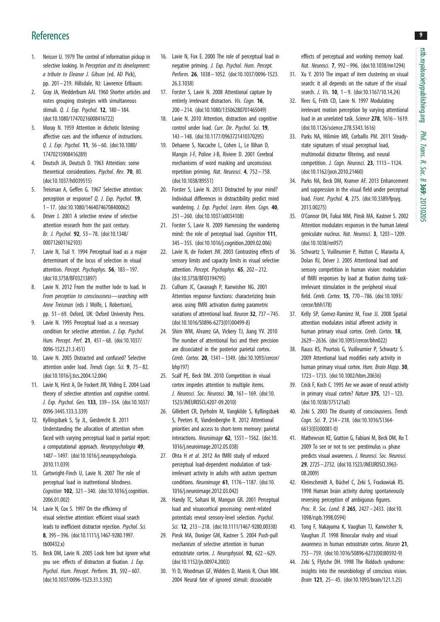# <span id="page-8-0"></span>**References**

- 1. Neisser U. 1979 The control of information pickup in selective looking. In Perception and its development: a tribute to Eleanor J. Gibson (ed. AD Pick), pp. 201 – 219. Hillsdale, NJ: Lawrence Erlbaum.
- 2. Gray JA, Wedderburn AAI. 1960 Shorter articles and notes grouping strategies with simultaneous stimuli. Q. J. Exp. Psychol. 12, 180– 184. [\(doi:10.1080/17470216008416722](http://dx.doi.org/10.1080/17470216008416722))
- 3. Moray N. 1959 Attention in dichotic listening: affective cues and the influence of instructions. Q. J. Exp. Psychol. 11, 56 – 60. ([doi:10.1080/](http://dx.doi.org/10.1080/17470215908416289) [17470215908416289](http://dx.doi.org/10.1080/17470215908416289))
- 4. Deutsch JA, Deutsch D. 1963 Attention: some theoretical considerations. Psychol. Rev. 70, 80. [\(doi:10.1037/h0039515](http://dx.doi.org/10.1037/h0039515))
- 5. Treisman A, Geffen G. 1967 Selective attention: perception or response? Q. J. Exp. Psychol. 19, 1– 17. [\(doi:10.1080/14640746708400062](http://dx.doi.org/10.1080/14640746708400062))
- 6. Driver J. 2001 A selective review of selective attention research from the past century. Br. J. Psychol. 92, 53 – 78. ([doi:10.1348/](http://dx.doi.org/10.1348/000712601162103) [000712601162103\)](http://dx.doi.org/10.1348/000712601162103)
- 7. Lavie N, Tsal Y. 1994 Perceptual load as a major determinant of the locus of selection in visual attention. Percept. Psychophys. 56, 183– 197. [\(doi:10.3758/BF03213897\)](http://dx.doi.org/10.3758/BF03213897)
- 8. Lavie N. 2012 From the mother lode to load. In From perception to consciousness—searching with Anne Treisman (eds J Wolfe, L Robertson), pp. 51 – 69. Oxford, UK: Oxford University Press.
- 9. Lavie N. 1995 Perceptual load as a necessary condition for selective attention. J. Exp. Psychol. Hum. Percept. Perf. 21, 451– 68. [\(doi:10.1037/](http://dx.doi.org/10.1037/0096-1523.21.3.451) [0096-1523.21.3.451\)](http://dx.doi.org/10.1037/0096-1523.21.3.451)
- 10. Lavie N. 2005 Distracted and confused? Selective attention under load. Trends Cogn. Sci. 9, 75 – 82. [\(doi:10.1016/j.tics.2004.12.004\)](http://dx.doi.org/10.1016/j.tics.2004.12.004)
- 11. Lavie N, Hirst A, De Fockert JW, Viding E. 2004 Load theory of selective attention and cognitive control. J. Exp. Psychol. Gen. 133, 339 – 354. ([doi:10.1037/](http://dx.doi.org/10.1037/0096-3445.133.3.339) [0096-3445.133.3.339](http://dx.doi.org/10.1037/0096-3445.133.3.339))
- 12. Kyllingsbæk S, Sy JL, Giesbrecht B. 2011 Understanding the allocation of attention when faced with varying perceptual load in partial report: a computational approach. Neuropsychologia 49, 1487 – 1497. [\(doi:10.1016/j.neuropsychologia.](http://dx.doi.org/10.1016/j.neuropsychologia.2010.11.039) [2010.11.039\)](http://dx.doi.org/10.1016/j.neuropsychologia.2010.11.039)
- 13. Cartwright-Finch U, Lavie N. 2007 The role of perceptual load in inattentional blindness. Cognition 102, 321 – 340. ([doi:10.1016/j.cognition.](http://dx.doi.org/10.1016/j.cognition.2006.01.002) [2006.01.002\)](http://dx.doi.org/10.1016/j.cognition.2006.01.002)
- 14. Lavie N, Cox S. 1997 On the efficiency of visual selective attention: efficient visual search leads to inefficient distractor rejection. Psychol. Sci. 8, 395–396. ([doi:10.1111/j.1467-9280.1997.](http://dx.doi.org/10.1111/j.1467-9280.1997.tb00432.x) [tb00432.x](http://dx.doi.org/10.1111/j.1467-9280.1997.tb00432.x))
- 15. Beck DM, Lavie N. 2005 Look here but ignore what you see: effects of distractors at fixation. J. Exp. Psychol. Hum. Percept. Perform. 31, 592-607. [\(doi:10.1037/0096-1523.31.3.592\)](http://dx.doi.org/10.1037/0096-1523.31.3.592)
- 16. Lavie N, Fox E. 2000 The role of perceptual load in negative priming. J. Exp. Psychol. Hum. Percept. Perform. 26, 1038– 1052. [\(doi:10.1037/0096-1523.](http://dx.doi.org/10.1037/0096-1523.26.3.1038) [26.3.1038\)](http://dx.doi.org/10.1037/0096-1523.26.3.1038)
- 17. Forster S, Lavie N. 2008 Attentional capture by entirely irrelevant distractors. Vis. Cogn. 16, 200 – 214. [\(doi:10.1080/13506280701465049](http://dx.doi.org/10.1080/13506280701465049))
- 18. Lavie N. 2010 Attention, distraction and cognitive control under load. Curr. Dir. Psychol. Sci. 19. 143 – 148. [\(doi:10.1177/0963721410370295\)](http://dx.doi.org/10.1177/0963721410370295)
- 19. Dehaene S, Naccache L, Cohen L, Le Bihan D, Mangin J-F, Poline J-B, Riviere D. 2001 Cerebral mechanisms of word masking and unconscious repetition priming. Nat. Neurosci. 4, 752-758. [\(doi:10.1038/89551\)](http://dx.doi.org/10.1038/89551)
- 20. Forster S, Lavie N. 2013 Distracted by your mind? Individual differences in distractibility predict mind wandering. J. Exp. Psychol. Learn. Mem. Coan. 40, 251 – 260. [\(doi:10.1037/a0034108\)](http://dx.doi.org/10.1037/a0034108)
- 21. Forster S, Lavie N. 2009 Harnessing the wandering mind: the role of perceptual load. Coanition 111. 345 – 355. [\(doi:10.1016/j.cognition.2009.02.006](http://dx.doi.org/10.1016/j.cognition.2009.02.006))
- 22. Lavie N, de Fockert JW. 2003 Contrasting effects of sensory limits and capacity limits in visual selective attention. Percept. Psychophys. 65, 202– 212. [\(doi:10.3758/BF03194795](http://dx.doi.org/10.3758/BF03194795))
- 23. Culham JC, Cavanagh P, Kanwisher NG. 2001 Attention response functions: characterizing brain areas using fMRI activation during parametric variations of attentional load. Neuron 32, 737– 745. [\(doi:10.1016/S0896-6273\(01\)00499-8](http://dx.doi.org/10.1016/S0896-6273(01)00499-8))
- 24. Shim WM, Alvarez GA, Vickery TJ, Jiang YV. 2010 The number of attentional foci and their precision are dissociated in the posterior parietal cortex. Cereb. Cortex. 20, 1341– 1349. [\(doi:10.1093/cercor/](http://dx.doi.org/10.1093/cercor/bhp197) [bhp197\)](http://dx.doi.org/10.1093/cercor/bhp197)
- 25. Scalf PE, Beck DM. 2010 Competition in visual cortex impedes attention to multiple items. J. Neurosci. Soc. Neurosci. 30, 161– 169. [\(doi:10.](http://dx.doi.org/10.1523/JNEUROSCI.4207-09.2010) [1523/JNEUROSCI.4207-09.2010\)](http://dx.doi.org/10.1523/JNEUROSCI.4207-09.2010)
- 26. Gillebert CR, Dyrholm M, Vangkilde S, Kyllingsbæk S, Peeters R, Vandenberghe R. 2012 Attentional priorities and access to short-term memory: parietal interactions. Neuroimage 62, 1551– 1562. ([doi:10.](http://dx.doi.org/10.1016/j.neuroimage.2012.05.038) [1016/j.neuroimage.2012.05.038](http://dx.doi.org/10.1016/j.neuroimage.2012.05.038))
- 27. Ohta H et al. 2012 An fMRI study of reduced perceptual load-dependent modulation of taskirrelevant activity in adults with autism spectrum conditions. Neuroimage 61, 1176– 1187. [\(doi:10.](http://dx.doi.org/10.1016/j.neuroimage.2012.03.042) [1016/j.neuroimage.2012.03.042](http://dx.doi.org/10.1016/j.neuroimage.2012.03.042))
- 28. Handy TC, Soltani M, Mangun GR. 2001 Perceptual load and visuocortical processing: event-related potentials reveal sensory-level selection. Psychol. Sci. 12, 213 – 218. [\(doi:10.1111/1467-9280.00338\)](http://dx.doi.org/10.1111/1467-9280.00338)
- 29. Pinsk MA, Doniger GM, Kastner S. 2004 Push-pull mechanism of selective attention in human extrastriate cortex. J. Neurophysiol. **92**, 622-629. [\(doi:10.1152/jn.00974.2003\)](http://dx.doi.org/10.1152/jn.00974.2003)
- 30. Yi D, Woodman GF, Widders D, Marois R, Chun MM. 2004 Neural fate of ignored stimuli: dissociable

effects of perceptual and working memory load. Nat. Neurosci. 7, 992 – 996. ([doi:10.1038/nn1294](http://dx.doi.org/10.1038/nn1294))

- 31. Xu Y. 2010 The impact of item clustering on visual search: it all depends on the nature of the visual search. *J. Vis.* **10**, 1-9. [\(doi:10.1167/10.14.24](http://dx.doi.org/10.1167/10.14.24))
- 32. Rees G, Frith CD, Lavie N. 1997 Modulating irrelevant motion perception by varying attentional load in an unrelated task. Science 278, 1616 – 1619. ([doi:10.1126/science.278.5343.1616\)](http://dx.doi.org/10.1126/science.278.5343.1616)
- 33. Parks NA, Hilimire MR, Corballis PM. 2011 Steadystate signatures of visual perceptual load, multimodal distractor filtering, and neural competition. J. Cogn. Neurosci. 23, 1113-1124. ([doi:10.1162/jocn.2010.21460](http://dx.doi.org/10.1162/jocn.2010.21460))
- 34. Parks NA, Beck DM, Kramer AF. 2013 Enhancement and suppression in the visual field under perceptual load. Front. Psychol. 4, 275. ([doi:10.3389/fpsyg.](http://dx.doi.org/10.3389/fpsyg.2013.00275) [2013.00275\)](http://dx.doi.org/10.3389/fpsyg.2013.00275)
- 35. O'Connor DH, Fukui MM, Pinsk MA, Kastner S. 2002 Attention modulates responses in the human lateral geniculate nucleus. Nat. Neurosci. 3, 1203-1209. ([doi:10.1038/nn957\)](http://dx.doi.org/10.1038/nn957)
- 36. Schwartz S, Vuilleumier P, Hutton C, Maravita A, Dolan RJ, Driver J. 2005 Attentional load and sensory competition in human vision: modulation of fMRI responses by load at fixation during taskirrelevant stimulation in the peripheral visual field. Cereb. Cortex. 15, 770– 786. [\(doi:10.1093/](http://dx.doi.org/10.1093/cercor/bhh178) [cercor/bhh178\)](http://dx.doi.org/10.1093/cercor/bhh178)
- 37. Kelly SP, Gomez-Ramirez M, Foxe JJ. 2008 Spatial attention modulates initial afferent activity in human primary visual cortex. Cereb. Cortex. 18, 2629– 2636. ([doi:10.1093/cercor/bhn022\)](http://dx.doi.org/10.1093/cercor/bhn022)
- 38. Rauss KS, Pourtois G, Vuilleumier P, Schwartz S. 2009 Attentional load modifies early activity in human primary visual cortex. Hum. Brain Mapp. 30, 1723– 1733. ([doi:10.1002/hbm.20636\)](http://dx.doi.org/10.1002/hbm.20636)
- 39. Crick F, Koch C. 1995 Are we aware of neural activity in primary visual cortex? Nature 375, 121– 123. ([doi:10.1038/375121a0](http://dx.doi.org/10.1038/375121a0))
- 40. Zeki S. 2003 The disunity of consciousness. Trends Cogn. Sci. 7, 214– 218. [\(doi:10.1016/S1364-](http://dx.doi.org/10.1016/S1364-6613(03)00081-0) [6613\(03\)00081-0](http://dx.doi.org/10.1016/S1364-6613(03)00081-0))
- 41. Mathewson KE, Gratton G, Fabiani M, Beck DM, Ro T. 2009 To see or not to see: prestimulus  $\alpha$  phase predicts visual awareness. J. Neurosci. Soc. Neurosci. 29, 2725– 2732. ([doi:10.1523/JNEUROSCI.3963-](http://dx.doi.org/10.1523/JNEUROSCI.3963-08.2009) [08.2009](http://dx.doi.org/10.1523/JNEUROSCI.3963-08.2009))
- 42. Kleinschmidt A, Büchel C, Zeki S, Frackowiak RS. 1998 Human brain activity during spontaneously reversing perception of ambiguous figures. Proc. R. Soc. Lond. B 265, 2427– 2433. ([doi:10.](http://dx.doi.org/10.1098/rspb.1998.0594) [1098/rspb.1998.0594\)](http://dx.doi.org/10.1098/rspb.1998.0594)
- 43. Tong F, Nakayama K, Vaughan TJ, Kanwisher N, Vaughan JT. 1998 Binocular rivalry and visual awareness in human extrastriate cortex. Neuron 21, 753– 759. [\(doi:10.1016/S0896-6273\(00\)80592-9](http://dx.doi.org/10.1016/S0896-6273(00)80592-9))
- 44. Zeki S, Ffytche DH. 1998 The Riddoch syndrome: insights into the neurobiology of conscious vision. Brain 121, 25 – 45. [\(doi:10.1093/brain/121.1.25\)](http://dx.doi.org/10.1093/brain/121.1.25)